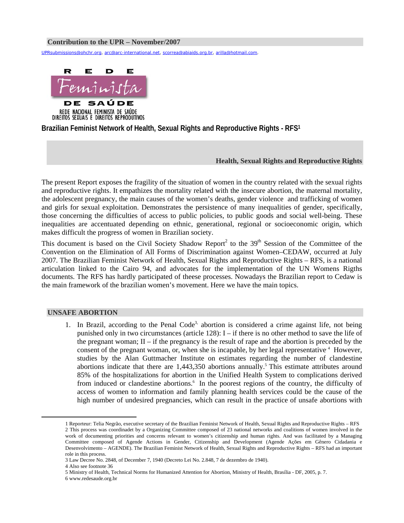### **Contribution to the UPR – November/2007**

UPRsubmissions@ohchr.org, arc@arc-international.net, scorrea@abiaids.org.br, arilla@hotmail.com.



REDE NACIONAL FEMINISTA DE SAÚDE DIREITOS SEXUAIS E DIREITOS REPRODUTIVOS

**Brazilian Feminist Network of Health, Sexual Rights and Reproductive Rights - RFS1**

## **Health, Sexual Rights and Reproductive Rights**

The present Report exposes the fragility of the situation of women in the country related with the sexual rights and reproductive rights. It empathizes the mortality related with the insecure abortion, the maternal mortality, the adolescent pregnancy, the main causes of the women's deaths, gender violence and trafficking of women and girls for sexual exploitation. Demonstrates the persistence of many inequalities of gender, specifically, those concerning the difficulties of access to public policies, to public goods and social well-being. These inequalities are accentuated depending on ethnic, generational, regional or socioeconomic origin, which makes difficult the progress of women in Brazilian society.

This document is based on the Civil Society Shadow Report<sup>2</sup> to the  $39<sup>th</sup>$  Session of the Committee of the Convention on the Elimination of All Forms of Discrimination against Women–CEDAW, occurred at July 2007. The Brazilian Feminist Network of Health, Sexual Rights and Reproductive Rights – RFS, is a national articulation linked to the Cairo 94, and advocates for the implementation of the UN Womens Rigths documents. The RFS has hardly participated of theese processes. Nowadays the Brazilian report to Cedaw is the main framework of the brazilian women's movement. Here we have the main topics.

# **UNSAFE ABORTION**

1. In Brazil, according to the Penal Code<sup>3,</sup> abortion is considered a crime against life, not being punished only in two circumstances (article 128): I – if there is no other method to save the life of the pregnant woman;  $II - if$  the pregnancy is the result of rape and the abortion is preceded by the consent of the pregnant woman, or, when she is incapable, by her legal representative.<sup>4</sup> However, studies by the Alan Guttmacher Institute on estimates regarding the number of clandestine abortions indicate that there are  $1,443,350$  abortions annually.<sup>5</sup> This estimate attributes around 85% of the hospitalizations for abortion in the Unified Health System to complications derived from induced or clandestine abortions.<sup>6</sup> In the poorest regions of the country, the difficulty of access of women to information and family planning health services could be the cause of the high number of undesired pregnancies, which can result in the practice of unsafe abortions with

 <sup>1</sup> Reporteur: Telia Negrão, executive secretary of the Brazilian Feminist Network of Health, Sexual Rights and Reproductive Rights – RFS 2 This process was coordinadet by a Organizing Committee composed of 23 national networks and coalitions of women involved in the work of documenting priorities and concerns relevant to women's citizenship and human rights. And was facilitated by a Managing Committee composed of Agende Actions in Gender, Citizenship and Development (Agende Ações em Gênero Cidadania e Desenvolvimento – AGENDE). The Brazilian Feminist Network of Health, Sexual Rights and Reproductive Rights – RFS had an important role in this process.

<sup>3</sup> Law Decree No. 2848, of December 7, 1940 (Decreto Lei No. 2.848, 7 de dezembro de 1940).

<sup>4</sup> Also see footnote 36

<sup>5</sup> Ministry of Health, Technical Norms for Humanized Attention for Abortion, Ministry of Health, Brasília - DF, 2005, p. 7.

<sup>6</sup> www.redesaude.org.br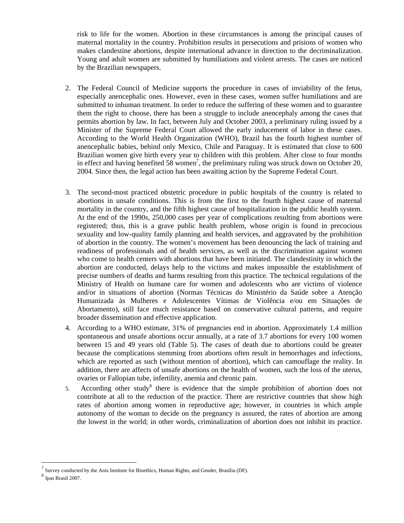risk to life for the women. Abortion in these circumstances is among the principal causes of maternal mortality in the country. Prohibition results in persecutions and prisions of women who makes clandestine abortions, despite international advance in direction to the decriminalization. Young and adult women are submitted by humiliations and violent arrests. The cases are noticed by the Brazilian newspapers.

- 2. The Federal Council of Medicine supports the procedure in cases of inviability of the fetus, especially anencephalic ones. However, even in these cases, women suffer humiliations and are submitted to inhuman treatment. In order to reduce the suffering of these women and to guarantee them the right to choose, there has been a struggle to include anencephaly among the cases that permits abortion by law. In fact, between July and October 2003, a preliminary ruling issued by a Minister of the Supreme Federal Court allowed the early inducement of labor in these cases. According to the World Health Organization (WHO), Brazil has the fourth highest number of anencephalic babies, behind only Mexico, Chile and Paraguay. It is estimated that close to 600 Brazilian women give birth every year to children with this problem. After close to four months in effect and having benefited 58 women<sup>7</sup>, the preliminary ruling was struck down on October 20, 2004. Since then, the legal action has been awaiting action by the Supreme Federal Court.
- 3. The second-most practiced obstetric procedure in public hospitals of the country is related to abortions in unsafe conditions. This is from the first to the fourth highest cause of maternal mortality in the country, and the fifth highest cause of hospitalization in the public health system. At the end of the 1990s, 250,000 cases per year of complications resulting from abortions were registered; thus, this is a grave public health problem, whose origin is found in precocious sexuality and low-quality family planning and health services, and aggravated by the prohibition of abortion in the country. The women's movement has been denouncing the lack of training and readiness of professionals and of health services, as well as the discrimination against women who come to health centers with abortions that have been initiated. The clandestinity in which the abortion are conducted, delays help to the victims and makes impossible the establishment of precise numbers of deaths and harms resulting from this practice. The technical regulations of the Ministry of Health on humane care for women and adolescents who are victims of violence and/or in situations of abortion (Normas Técnicas do Ministério da Saúde sobre a Atenção Humanizada às Mulheres e Adolescentes Vítimas de Violência e/ou em Situações de Abortamento), still face much resistance based on conservative cultural patterns, and require broader dissemination and effective application.
- 4. According to a WHO estimate, 31% of pregnancies end in abortion. Approximately 1.4 million spontaneous and unsafe abortions occur annually, at a rate of 3.7 abortions for every 100 women between 15 and 49 years old (Table 5). The cases of death due to abortions could be greater because the complications stemming from abortions often result in hemorrhages and infections, which are reported as such (without mention of abortion), which can camouflage the reality. In addition, there are affects of unsafe abortions on the health of women, such the loss of the uterus, ovaries or Fallopian tube, infertility, anemia and chronic pain.
- 5. According other study<sup>8</sup> there is evidence that the simple prohibition of abortion does not contribute at all to the reduction of the practice. There are restrictive countries that show high rates of abortion among women in reproductive age; however, in countries in which ample autonomy of the woman to decide on the pregnancy is assured, the rates of abortion are among the lowest in the world; in other words, criminalization of abortion does not inhibit its practice.

<sup>&</sup>lt;sup>7</sup> Survey conducted by the Anis Institute for Bioethics, Human Rights, and Gender, Brasília (DF). <sup>8</sup> Ipas Brasil 2007.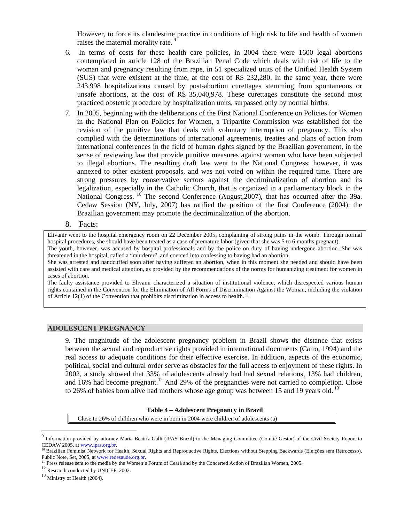However, to force its clandestine practice in conditions of high risk to life and health of women raises the maternal morality rate.<sup>9</sup>

- 6. In terms of costs for these health care policies, in 2004 there were 1600 legal abortions contemplated in article 128 of the Brazilian Penal Code which deals with risk of life to the woman and pregnancy resulting from rape, in 51 specialized units of the Unified Health System (SUS) that were existent at the time, at the cost of R\$ 232,280. In the same year, there were 243,998 hospitalizations caused by post-abortion curettages stemming from spontaneous or unsafe abortions, at the cost of R\$ 35,040,978. These curettages constitute the second most practiced obstetric procedure by hospitalization units, surpassed only by normal births.
- 7. In 2005, beginning with the deliberations of the First National Conference on Policies for Women in the National Plan on Policies for Women, a Tripartite Commission was established for the revision of the punitive law that deals with voluntary interruption of pregnancy. This also complied with the determinations of international agreements, treaties and plans of action from international conferences in the field of human rights signed by the Brazilian government, in the sense of reviewing law that provide punitive measures against women who have been subjected to illegal abortions. The resulting draft law went to the National Congress; however, it was annexed to other existent proposals, and was not voted on within the required time. There are strong pressures by conservative sectors against the decriminalization of abortion and its legalization, especially in the Catholic Church, that is organized in a parliamentary block in the National Congress. <sup>10</sup> The second Conference (August, 2007), that has occurred after the 39a. Cedaw Session (NY, July, 2007) has ratified the position of the first Conference (2004): the Brazilian government may promote the decriminalization of the abortion.
- 8. Facts:

Elivanir went to the hospital emergency room on 22 December 2005, complaining of strong pains in the womb. Through normal hospital procedures, she should have been treated as a case of premature labor (given that she was 5 to 6 months pregnant).

The youth, however, was accused by hospital professionals and by the police on duty of having undergone abortion. She was threatened in the hospital, called a "murderer", and coerced into confessing to having had an abortion.

She was arrested and handcuffed soon after having suffered an abortion, when in this moment she needed and should have been assisted with care and medical attention, as provided by the recommendations of the norms for humanizing treatment for women in cases of abortion.

The faulty assistance provided to Elivanir characterized a situation of institutional violence, which disrespected various human rights contained in the Convention for the Elimination of All Forms of Discrimination Against the Woman, including the violation of Article 12(1) of the Convention that prohibits discrimination in access to health. **<sup>11</sup>**

# **ADOLESCENT PREGNANCY**

9. The magnitude of the adolescent pregnancy problem in Brazil shows the distance that exists between the sexual and reproductive rights provided in international documents (Cairo, 1994) and the real access to adequate conditions for their effective exercise. In addition, aspects of the economic, political, social and cultural order serve as obstacles for the full access to enjoyment of these rights. In 2002, a study showed that 33% of adolescents already had had sexual relations, 13% had children, and 16% had become pregnant.<sup>12</sup> And 29% of the pregnancies were not carried to completion. Close to 26% of babies born alive had mothers whose age group was between 15 and 19 years old.<sup>13</sup>

#### **Table 4 – Adolescent Pregnancy in Brazil**

Close to 26% of children who were in born in 2004 were children of adolescents (a)

<sup>9</sup> Information provided by attorney Maria Beatriz Galli (IPAS Brazil) to the Managing Committee (Comitê Gestor) of the Civil Society Report to

CEDAW 2005, at www.ipas.org.br.<br><sup>10</sup> Brazilian Feminist Network for Health, Sexual Rights and Reproductive Rights, Elections without Stepping Backwards (Eleições sem Retrocesso),<br>Public Note, Set, 2005, at www.redesaude.or

<sup>&</sup>lt;sup>11</sup> Press release sent to the media by the Women's Forum of Ceará and by the Concerted Action of Brazilian Women, 2005.<br><sup>12</sup> Research conducted by UNICEF, 2002.

<sup>13</sup> Ministry of Health (2004).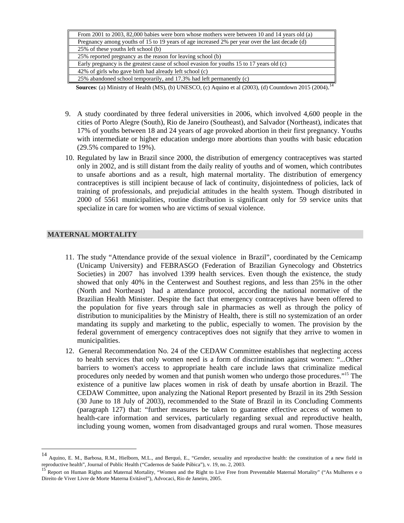| From 2001 to 2003, 82,000 babies were born whose mothers were between 10 and 14 years old (a)  |
|------------------------------------------------------------------------------------------------|
| Pregnancy among youths of 15 to 19 years of age increased 2% per year over the last decade (d) |
| 25% of these youths left school (b)                                                            |
| 25% reported pregnancy as the reason for leaving school (b)                                    |
| Early pregnancy is the greatest cause of school evasion for youths 15 to 17 years old (c)      |
| 42% of girls who gave birth had already left school (c)                                        |
| 25% abandoned school temporarily, and 17.3% had left permanently (c)                           |
| ---------                                                                                      |

**Sources**: (a) Ministry of Health (MS), (b) UNESCO, (c) Aquino et al (2003), (d) Countdown 2015 (2004).<sup>14</sup>

- 9. A study coordinated by three federal universities in 2006, which involved 4,600 people in the cities of Porto Alegre (South), Rio de Janeiro (Southeast), and Salvador (Northeast), indicates that 17% of youths between 18 and 24 years of age provoked abortion in their first pregnancy. Youths with intermediate or higher education undergo more abortions than youths with basic education (29.5% compared to 19%).
- 10. Regulated by law in Brazil since 2000, the distribution of emergency contraceptives was started only in 2002, and is still distant from the daily reality of youths and of women, which contributes to unsafe abortions and as a result, high maternal mortality. The distribution of emergency contraceptives is still incipient because of lack of continuity, disjointedness of policies, lack of training of professionals, and prejudicial attitudes in the health system. Though distributed in 2000 of 5561 municipalities, routine distribution is significant only for 59 service units that specialize in care for women who are victims of sexual violence.

# **MATERNAL MORTALITY**

- 11. The study "Attendance provide of the sexual violence in Brazil", coordinated by the Cemicamp (Unicamp University) and FEBRASGO (Federation of Brazilian Gynecology and Obstetrics Societies) in 2007 has involved 1399 health services. Even though the existence, the study showed that only 40% in the Centerwest and Southest regions, and less than 25% in the other (North and Northeast) had a attendance protocol, according the national normative of the Brazilian Health Minister. Despite the fact that emergency contraceptives have been offered to the population for five years through sale in pharmacies as well as through the policy of distribution to municipalities by the Ministry of Health, there is still no systemization of an order mandating its supply and marketing to the public, especially to women. The provision by the federal government of emergency contraceptives does not signify that they arrive to women in municipalities.
- 12. General Recommendation No. 24 of the CEDAW Committee establishes that neglecting access to health services that only women need is a form of discrimination against women: "...Other barriers to women's access to appropriate health care include laws that criminalize medical procedures only needed by women and that punish women who undergo those procedures."15 The existence of a punitive law places women in risk of death by unsafe abortion in Brazil. The CEDAW Committee, upon analyzing the National Report presented by Brazil in its 29th Session (30 June to 18 July of 2003), recommended to the State of Brazil in its Concluding Comments (paragraph 127) that: "further measures be taken to guarantee effective access of women to health-care information and services, particularly regarding sexual and reproductive health, including young women, women from disadvantaged groups and rural women. Those measures

<sup>14</sup> <sup>14</sup> Aquino, E. M., Barbosa, R.M., Hielborn, M.L., and Berquó, E., "Gender, sexuality and reproductive health: the constitution of a new field in reproductive health", Journal of Public Health ("Cadernos de Saúde Púbica"),

<sup>&</sup>lt;sup>15</sup> Report on Human Rights and Maternal Mortality, "Women and the Right to Live Free from Preventable Maternal Mortality" ("As Mulheres e o Direito de Viver Livre de Morte Materna Evitável"), Advocaci, Rio de Janeiro, 2005.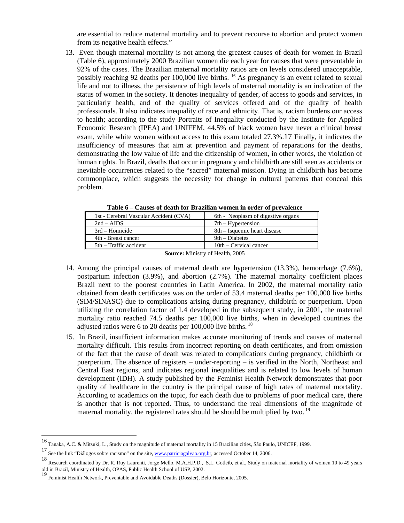are essential to reduce maternal mortality and to prevent recourse to abortion and protect women from its negative health effects."

13. Even though maternal mortality is not among the greatest causes of death for women in Brazil (Table 6), approximately 2000 Brazilian women die each year for causes that were preventable in 92% of the cases. The Brazilian maternal mortality ratios are on levels considered unacceptable, possibly reaching 92 deaths per 100,000 live births. 16 As pregnancy is an event related to sexual life and not to illness, the persistence of high levels of maternal mortality is an indication of the status of women in the society. It denotes inequality of gender, of access to goods and services, in particularly health, and of the quality of services offered and of the quality of health professionals. It also indicates inequality of race and ethnicity. That is, racism burdens our access to health; according to the study Portraits of Inequality conducted by the Institute for Applied Economic Research (IPEA) and UNIFEM, 44.5% of black women have never a clinical breast exam, while white women without access to this exam totaled 27.3%.17 Finally, it indicates the insufficiency of measures that aim at prevention and payment of reparations for the deaths, demonstrating the low value of life and the citizenship of women, in other words, the violation of human rights. In Brazil, deaths that occur in pregnancy and childbirth are still seen as accidents or inevitable occurrences related to the "sacred" maternal mission. Dying in childbirth has become commonplace, which suggests the necessity for change in cultural patterns that conceal this problem.

| 1st - Cerebral Vascular Accident (CVA) | 6th - Neoplasm of digestive organs |  |  |
|----------------------------------------|------------------------------------|--|--|
| $2nd - AIDS$                           | $7th$ – Hypertension               |  |  |
| 3rd – Homicide                         | 8th – Isquemic heart disease       |  |  |
| 4th - Breast cancer                    | 9th – Diabetes                     |  |  |
| 5th – Traffic accident                 | $10th$ – Cervical cancer           |  |  |
|                                        |                                    |  |  |

**Table 6 – Causes of death for Brazilian women in order of prevalence** 

**Source:** Ministry of Health, 2005

- 14. Among the principal causes of maternal death are hypertension (13.3%), hemorrhage (7.6%), postpartum infection (3.9%), and abortion (2.7%). The maternal mortality coefficient places Brazil next to the poorest countries in Latin America. In 2002, the maternal mortality ratio obtained from death certificates was on the order of 53.4 maternal deaths per 100,000 live births (SIM/SINASC) due to complications arising during pregnancy, childbirth or puerperium. Upon utilizing the correlation factor of 1.4 developed in the subsequent study, in 2001, the maternal mortality ratio reached 74.5 deaths per 100,000 live births, when in developed countries the adjusted ratios were 6 to 20 deaths per 100,000 live births. 18
- 15. In Brazil, insufficient information makes accurate monitoring of trends and causes of maternal mortality difficult. This results from incorrect reporting on death certificates, and from omission of the fact that the cause of death was related to complications during pregnancy, childbirth or puerperium. The absence of registers – under-reporting – is verified in the North, Northeast and Central East regions, and indicates regional inequalities and is related to low levels of human development (IDH). A study published by the Feminist Health Network demonstrates that poor quality of healthcare in the country is the principal cause of high rates of maternal mortality. According to academics on the topic, for each death due to problems of poor medical care, there is another that is not reported. Thus, to understand the real dimensions of the magnitude of maternal mortality, the registered rates should be should be multiplied by two.<sup>19</sup>

<sup>16</sup> Tanaka, A.C. & Mitsuki, L., Study on the magnitude of maternal mortality in 15 Brazilian cities, São Paulo, UNICEF, 1999.

<sup>17</sup> See the link "Diálogos sobre racismo" on the site, www.patriciagalvao.org.br, accessed October 14, 2006.

<sup>18</sup> Research coordinated by Dr. R. Ruy Laurenti, Jorge Mello, M.A.H.P.D., S.L. Gotleib, et al., Study on maternal mortality of women 10 to 49 years old in Brazil, Ministry of Health, OPAS, Public Health School of USP, 2002.

<sup>19</sup> Feminist Health Network, Preventable and Avoidable Deaths (Dossier), Belo Horizonte, 2005.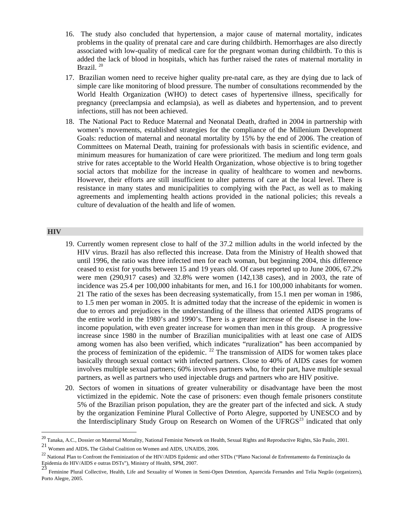- 16. The study also concluded that hypertension, a major cause of maternal mortality, indicates problems in the quality of prenatal care and care during childbirth. Hemorrhages are also directly associated with low-quality of medical care for the pregnant woman during childbirth. To this is added the lack of blood in hospitals, which has further raised the rates of maternal mortality in Brazil.<sup>20</sup>
- 17. Brazilian women need to receive higher quality pre-natal care, as they are dying due to lack of simple care like monitoring of blood pressure. The number of consultations recommended by the World Health Organization (WHO) to detect cases of hypertensive illness, specifically for pregnancy (preeclampsia and eclampsia), as well as diabetes and hypertension, and to prevent infections, still has not been achieved.
- 18. The National Pact to Reduce Maternal and Neonatal Death, drafted in 2004 in partnership with women's movements, established strategies for the compliance of the Millenium Development Goals: reduction of maternal and neonatal mortality by 15% by the end of 2006. The creation of Committees on Maternal Death, training for professionals with basis in scientific evidence, and minimum measures for humanization of care were prioritized. The medium and long term goals strive for rates acceptable to the World Health Organization, whose objective is to bring together social actors that mobilize for the increase in quality of healthcare to women and newborns. However, their efforts are still insufficient to alter patterns of care at the local level. There is resistance in many states and municipalities to complying with the Pact, as well as to making agreements and implementing health actions provided in the national policies; this reveals a culture of devaluation of the health and life of women.

### **HIV**

- 19. Currently women represent close to half of the 37.2 million adults in the world infected by the HIV virus. Brazil has also reflected this increase. Data from the Ministry of Health showed that until 1996, the ratio was three infected men for each woman, but beginning 2004, this difference ceased to exist for youths between 15 and 19 years old. Of cases reported up to June 2006, 67.2% were men (290,917 cases) and 32.8% were women (142,138 cases), and in 2003, the rate of incidence was 25.4 per 100,000 inhabitants for men, and 16.1 for 100,000 inhabitants for women. 21 The ratio of the sexes has been decreasing systematically, from 15.1 men per woman in 1986, to 1.5 men per woman in 2005. It is admitted today that the increase of the epidemic in women is due to errors and prejudices in the understanding of the illness that oriented AIDS programs of the entire world in the 1980's and 1990's. There is a greater increase of the disease in the lowincome population, with even greater increase for women than men in this group. A progressive increase since 1980 in the number of Brazilian municipalities with at least one case of AIDS among women has also been verified, which indicates "ruralization" has been accompanied by the process of feminization of the epidemic. <sup>22</sup> The transmission of AIDS for women takes place basically through sexual contact with infected partners. Close to 40% of AIDS cases for women involves multiple sexual partners; 60% involves partners who, for their part, have multiple sexual partners, as well as partners who used injectable drugs and partners who are HIV positive.
- 20. Sectors of women in situations of greater vulnerability or disadvantage have been the most victimized in the epidemic. Note the case of prisoners: even though female prisoners constitute 5% of the Brazilian prison population, they are the greater part of the infected and sick. A study by the organization Feminine Plural Collective of Porto Alegre, supported by UNESCO and by the Interdisciplinary Study Group on Research on Women of the UFRGS<sup>23</sup> indicated that only

<sup>&</sup>lt;sup>20</sup> Tanaka, A.C., Dossier on Maternal Mortality, National Feminist Network on Health, Sexual Rights and Reproductive Rights, São Paulo, 2001.

 $21$  Women and AIDS. The Global Coalition on Women and AIDS, UNAIDS, 2006.

<sup>&</sup>lt;sup>22</sup> National Plan to Confront the Feminization of the HIV/AIDS Epidemic and other STDs ("Plano Nacional de Enfrentamento da Feminização da Epidemia do HIV/AIDS e outras DSTs"), Ministry of Health, SPM, 2007.<br>
23

<sup>23</sup> Feminine Plural Collective, Health, Life and Sexuality of Women in Semi-Open Detention, Aparecida Fernandes and Telia Negrão (organizers), Porto Alegre, 2005.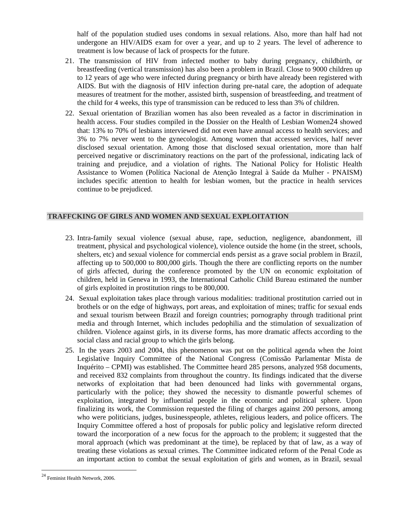half of the population studied uses condoms in sexual relations. Also, more than half had not undergone an HIV/AIDS exam for over a year, and up to 2 years. The level of adherence to treatment is low because of lack of prospects for the future.

- 21. The transmission of HIV from infected mother to baby during pregnancy, childbirth, or breastfeeding (vertical transmission) has also been a problem in Brazil. Close to 9000 children up to 12 years of age who were infected during pregnancy or birth have already been registered with AIDS. But with the diagnosis of HIV infection during pre-natal care, the adoption of adequate measures of treatment for the mother, assisted birth, suspension of breastfeeding, and treatment of the child for 4 weeks, this type of transmission can be reduced to less than 3% of children.
- 22. Sexual orientation of Brazilian women has also been revealed as a factor in discrimination in health access. Four studies compiled in the Dossier on the Health of Lesbian Women24 showed that: 13% to 70% of lesbians interviewed did not even have annual access to health services; and 3% to 7% never went to the gynecologist. Among women that accessed services, half never disclosed sexual orientation. Among those that disclosed sexual orientation, more than half perceived negative or discriminatory reactions on the part of the professional, indicating lack of training and prejudice, and a violation of rights. The National Policy for Holistic Health Assistance to Women (Política Nacional de Atenção Integral à Saúde da Mulher - PNAISM) includes specific attention to health for lesbian women, but the practice in health services continue to be prejudiced.

# **TRAFFCKING OF GIRLS AND WOMEN AND SEXUAL EXPLOITATION**

- 23. Intra-family sexual violence (sexual abuse, rape, seduction, negligence, abandonment, ill treatment, physical and psychological violence), violence outside the home (in the street, schools, shelters, etc) and sexual violence for commercial ends persist as a grave social problem in Brazil, affecting up to 500,000 to 800,000 girls. Though the there are conflicting reports on the number of girls affected, during the conference promoted by the UN on economic exploitation of children, held in Geneva in 1993, the International Catholic Child Bureau estimated the number of girls exploited in prostitution rings to be 800,000.
- 24. Sexual exploitation takes place through various modalities: traditional prostitution carried out in brothels or on the edge of highways, port areas, and exploitation of mines; traffic for sexual ends and sexual tourism between Brazil and foreign countries; pornography through traditional print media and through Internet, which includes pedophilia and the stimulation of sexualization of children. Violence against girls, in its diverse forms, has more dramatic affects according to the social class and racial group to which the girls belong.
- 25. In the years 2003 and 2004, this phenomenon was put on the political agenda when the Joint Legislative Inquiry Committee of the National Congress (Comissão Parlamentar Mista de Inquérito – CPMI) was established. The Committee heard 285 persons, analyzed 958 documents, and received 832 complaints from throughout the country. Its findings indicated that the diverse networks of exploitation that had been denounced had links with governmental organs, particularly with the police; they showed the necessity to dismantle powerful schemes of exploitation, integrated by influential people in the economic and political sphere. Upon finalizing its work, the Commission requested the filing of charges against 200 persons, among who were politicians, judges, businesspeople, athletes, religious leaders, and police officers. The Inquiry Committee offered a host of proposals for public policy and legislative reform directed toward the incorporation of a new focus for the approach to the problem; it suggested that the moral approach (which was predominant at the time), be replaced by that of law, as a way of treating these violations as sexual crimes. The Committee indicated reform of the Penal Code as an important action to combat the sexual exploitation of girls and women, as in Brazil, sexual

<sup>24</sup> Feminist Health Network, 2006.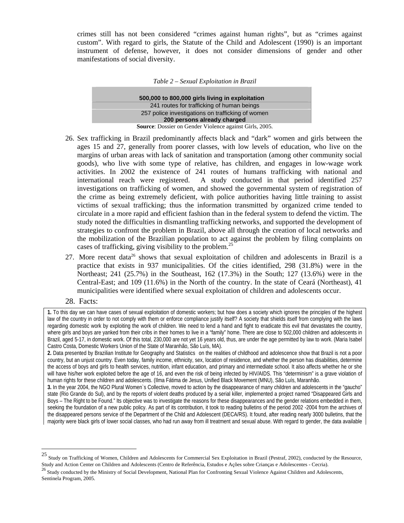crimes still has not been considered "crimes against human rights", but as "crimes against custom". With regard to girls, the Statute of the Child and Adolescent (1990) is an important instrument of defense, however, it does not consider dimensions of gender and other manifestations of social diversity.

| Table 2 – Sexual Exploitation in Brazil |  |
|-----------------------------------------|--|
|-----------------------------------------|--|

| 500,000 to 800,000 girls living in exploitation         |  |  |  |  |
|---------------------------------------------------------|--|--|--|--|
| 241 routes for trafficking of human beings              |  |  |  |  |
| 257 police investigations on trafficking of women       |  |  |  |  |
| 200 persons already charged                             |  |  |  |  |
| Source: Dossier on Gender Violence against Girls, 2005. |  |  |  |  |

- 26. Sex trafficking in Brazil predominantly affects black and "dark" women and girls between the ages 15 and 27, generally from poorer classes, with low levels of education, who live on the margins of urban areas with lack of sanitation and transportation (among other community social goods), who live with some type of relative, has children, and engages in low-wage work activities. In 2002 the existence of 241 routes of humans trafficking with national and international reach were registered. A study conducted in that period identified 257 investigations on trafficking of women, and showed the governmental system of registration of the crime as being extremely deficient, with police authorities having little training to assist victims of sexual trafficking; thus the information transmitted by organized crime tended to circulate in a more rapid and efficient fashion than in the federal system to defend the victim. The study noted the difficulties in dismantling trafficking networks, and supported the development of strategies to confront the problem in Brazil, above all through the creation of local networks and the mobilization of the Brazilian population to act against the problem by filing complaints on cases of trafficking, giving visibility to the problem.<sup>25</sup>
- 27. More recent data<sup>26</sup> shows that sexual exploitation of children and adolescents in Brazil is a practice that exists in 937 municipalities. Of the cities identified, 298 (31.8%) were in the Northeast; 241 (25.7%) in the Southeast, 162 (17.3%) in the South; 127 (13.6%) were in the Central-East; and 109 (11.6%) in the North of the country. In the state of Ceará (Northeast), 41 municipalities were identified where sexual exploitation of children and adolescents occur.
- 28. Facts:

 $\overline{a}$ 

**1.** To this day we can have cases of sexual exploitation of domestic workers; but how does a society which ignores the principles of the highest law of the country in order to not comply with them or enforce compliance justify itself? A society that shields itself from complying with the laws regarding domestic work by exploiting the work of children. We need to lend a hand and fight to eradicate this evil that devastates the country, where girls and boys are yanked from their cribs in their homes to live in a "family" home. There are close to 502,000 children and adolescents in Brazil, aged 5-17, in domestic work. Of this total, 230,000 are not yet 16 years old, thus, are under the age permitted by law to work. (Maria Isabel Castro Costa, Domestic Workers Union of the State of Maranhão, São Luís, MA).

**2.** Data presented by Brazilian Institute for Geography and Statistics on the realities of childhood and adolescence show that Brazil is not a poor country, but an unjust country. Even today, family income, ethnicity, sex, location of residence, and whether the person has disabilities, determine the access of boys and girls to health services, nutrition, infant education, and primary and intermediate school. It also affects whether he or she will have his/her work exploited before the age of 16, and even the risk of being infected by HIV/AIDS. This "determinism" is a grave violation of human rights for these children and adolescents. (Ilma Fátima de Jesus, Unified Black Movement (MNU), São Luís, Maranhão.

**3.** In the year 2004, the NGO Plural Women`s Collective, moved to action by the disappearance of many children and adolescents in the "gaucho" state (Rio Grande do Sul), and by the reports of violent deaths produced by a serial killer, implemented a project named "Disappeared Girls and Boys – The Right to be Found." Its objective was to investigate the reasons for these disappearances and the gender relations embedded in them, seeking the foundation of a new public policy. As part of its contribution, it took to reading bulletins of the period 2002 -2004 from the archives of the disappeared persons service of the Department of the Child and Adolescent (DECA/RS). It found, after reading nearly 3000 bulletins, that the majority were black girls of lower social classes, who had run away from ill treatment and sexual abuse. With regard to gender, the data available

<sup>25</sup> Study on Trafficking of Women, Children and Adolescents for Commercial Sex Exploitation in Brazil (Pestraf, 2002), conducted by the Resource,

Study and Action Center on Children and Adolescents (Centro de Referência, Estudos e Ações sobre Crianças e Adolescentes - Cecria).<br><sup>26</sup> Study conducted by the Ministry of Social Development, National Plan for Confronting Sentinela Program, 2005.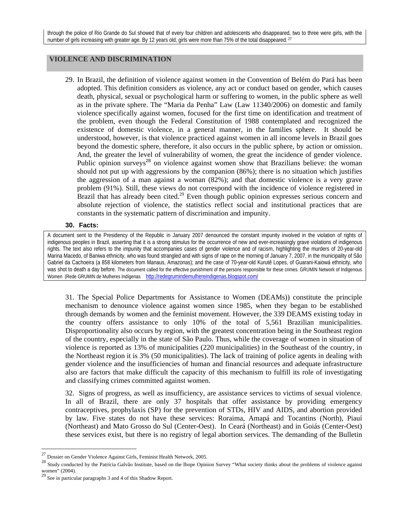# **VIOLENCE AND DISCRIMINATION**

29. In Brazil, the definition of violence against women in the Convention of Belém do Pará has been adopted. This definition considers as violence, any act or conduct based on gender, which causes death, physical, sexual or psychological harm or suffering to women, in the public sphere as well as in the private sphere. The "Maria da Penha" Law (Law 11340/2006) on domestic and family violence specifically against women, focused for the first time on identification and treatment of the problem, even though the Federal Constitution of 1988 contemplated and recognized the existence of domestic violence, in a general manner, in the families sphere. It should be understood, however, is that violence practiced against women in all income levels in Brazil goes beyond the domestic sphere, therefore, it also occurs in the public sphere, by action or omission. And, the greater the level of vulnerability of women, the great the incidence of gender violence. Public opinion surveys<sup>28</sup> on violence against women show that Brazilians believe: the woman should not put up with aggressions by the companion (86%); there is no situation which justifies the aggression of a man against a woman (82%); and that domestic violence is a very grave problem (91%). Still, these views do not correspond with the incidence of violence registered in Brazil that has already been cited.<sup>29</sup> Even though public opinion expresses serious concern and absolute rejection of violence, the statistics reflect social and institutional practices that are constants in the systematic pattern of discrimination and impunity.

### **30. Facts:**

A document sent to the Presidency of the Republic in January 2007 denounced the constant impunity involved in the violation of rights of indigenous peoples in Brazil, asserting that it is a strong stimulus for the occurrence of new and ever-increasingly grave violations of indigenous rights. The text also refers to the impunity that accompanies cases of gender violence and of racism, highlighting the murders of 20-year-old Marina Macedo, of Baniwa ethnicity, who was found strangled and with signs of rape on the morning of January 7, 2007, in the municipality of São Gabriel da Cachoeira (a 858 kilometers from Manaus, Amazonas); and the case of 70-year-old Kurutê Lopes, of Guarani-Kaiowá ethnicity, who was shot to death a day before. The document called for the effective punishment of the persons responsible for these crimes. GRUMIN Network of Indigenous Women (Rede GRUMIN de Mulheres Indígenas http://redegrumindemulhereindigenas.blogspot.com/

31. The Special Police Departments for Assistance to Women (DEAMs)) constitute the principle mechanism to denounce violence against women since 1985, when they began to be established through demands by women and the feminist movement. However, the 339 DEAMS existing today in the country offers assistance to only 10% of the total of 5,561 Brazilian municipalities. Disproportionality also occurs by region, with the greatest concentration being in the Southeast region of the country, especially in the state of São Paulo. Thus, while the coverage of women in situation of violence is reported as 13% of municipalities (220 municipalities) in the Southeast of the country, in the Northeast region it is 3% (50 municipalities). The lack of training of police agents in dealing with gender violence and the insufficiencies of human and financial resources and adequate infrastructure also are factors that make difficult the capacity of this mechanism to fulfill its role of investigating and classifying crimes committed against women.

32. Signs of progress, as well as insufficiency, are assistance services to victims of sexual violence. In all of Brazil, there are only 37 hospitals that offer assistance by providing emergency contraceptives, prophylaxis (SP) for the prevention of STDs, HIV and AIDS, and abortion provided by law. Five states do not have these services: Roraima, Amapá and Tocantins (North), Piauí (Northeast) and Mato Grosso do Sul (Center-Oest). In Ceará (Northeast) and in Goiás (Center-Oest) these services exist, but there is no registry of legal abortion services. The demanding of the Bulletin

<sup>&</sup>lt;sup>27</sup> Dossier on Gender Violence Against Girls, Feminist Health Network, 2005.<br><sup>28</sup> Study conducted by the Patrícia Galvão Institute, based on the Ibope Opinion Survey "What society thinks about the problems of violence ag women" (2004).

 $^{29}$  See in particular paragraphs 3 and 4 of this Shadow Report.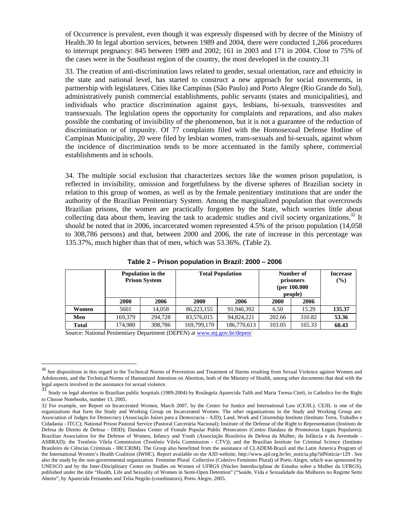of Occurrence is prevalent, even though it was expressly dispensed with by decree of the Ministry of Health.30 In legal abortion services, between 1989 and 2004, there were conducted 1,266 procedures to interrupt pregnancy: 845 between 1989 and 2002; 161 in 2003 and 171 in 2004. Close to 75% of the cases were in the Southeast region of the country, the most developed in the country.31

33. The creation of anti-discrimination laws related to gender, sexual orientation, race and ethnicity in the state and national level, has started to construct a new approach for social movements, in partnership with legislatures. Cities like Campinas (São Paulo) and Porto Alegre (Rio Grande do Sul), administratively punish commercial establishments, public servants (states and municipalities), and individuals who practice discrimination against gays, lesbians, bi-sexuals, transvestites and transsexuals. The legislation opens the opportunity for complaints and reparations, and also makes possible the combating of invisibility of the phenomenon, but it is not a guarantee of the reduction of discrimination or of impunity. Of 77 complaints filed with the Homosexual Defense Hotline of Campinas Municipality, 20 were filed by lesbian women, trans-sexuals and bi-sexuals, against whom the incidence of discrimination tends to be more accentuated in the family sphere, commercial establishments and in schools.

34. The multiple social exclusion that characterizes sectors like the women prison population, is reflected in invisibility, omission and forgetfulness by the diverse spheres of Brazilian society in relation to this group of women, as well as by the female penitentiary institutions that are under the authority of the Brazilian Penitentiary System. Among the marginalized population that overcrowds Brazilian prisons, the women are practically forgotten by the State, which worries little about collecting data about them, leaving the task to academic studies and civil society organizations.<sup>32</sup> It should be noted that in 2006, incarcerated women represented 4.5% of the prison population (14,058 to 308,786 persons) and that, between 2000 and 2006, the rate of increase in this percentage was 135.37%, much higher than that of men, which was 53.36%. (Table 2).

|              | Population in the<br><b>Prison System</b> |         | <b>Total Population</b> |             | Number of<br>prisoners<br>(per $100.000$ )<br>people) |        | <b>Increase</b><br>(%) |
|--------------|-------------------------------------------|---------|-------------------------|-------------|-------------------------------------------------------|--------|------------------------|
|              | <b>2000</b>                               | 2006    | 2000                    | 2006        | 2000                                                  | 2006   |                        |
| Women        | 5601                                      | 14.058  | 86,223,155              | 91,946,392  | 6.50                                                  | 15.29  | 135.37                 |
| Men          | 169.379                                   | 294,728 | 83,576,015              | 94,824,221  | 202.66                                                | 310.82 | 53.36                  |
| <b>Total</b> | 174.980                                   | 308,786 | 169,799,170             | 186,770,613 | 103.05                                                | 165.33 | 60.43                  |

**Table 2 – Prison population in Brazil: 2000 – 2006** 

Source: National Penitentiary Department (DEPEN) at www.mj.gov.br/depen/

<sup>&</sup>lt;sup>30</sup> See dispositions in this regard in the Technical Norms of Prevention and Treatment of Harms resulting from Sexual Violence against Women and Adolescents, and the Technical Norms of Humanized Attention on Abortion, both of the Ministry of Health, among other documents that deal with the legal aspects involved in the assistance for sexual violence.

<sup>31</sup> Study on legal abortion in Brazilian public hospitals (1989-2004) by Rosângela Aparecida Talib and Maria Teresa Citeli, in Catholics for the Right to Choose Notebooks, number 13, 2005.

<sup>32</sup> For example, see Report on Incarcerated Women, March 2007, by the Center for Justice and International Law (CEJIL). CEJIL is one of the organizations that form the Study and Working Group on Incarcerated Women. The other organizations in the Study and Working Group are: Association of Judges for Democracy (Associação Juízes para a Democracia - AJD); Land, Work and Citizenship Institute (Instituto Terra, Trabalho e Cidadania - ITCC); National Prison Pastoral Service (Pastoral Carcerária Nacional); Institute of the Defense of the Right to Representation (Instituto de Defesa do Direito de Defesa - DDD); Dandara Center of Female Popular Public Presecutors (Centro Dandara de Promotoras Legais Populares); Brazilian Association for the Defense of Women, Infancy and Youth (Associação Brasileira de Defesa da Mulher, da Infância e da Juventude - ASBRAD); the Teotônio Vilela Commission (Teotônio Vilela Commission - CTV)); and the Brazilian Institute for Criminal Science (Instituto Brasileiro de Ciências Criminais - IBCCRIM). The Group also benefitted from the assistance of CLADEM-Brazil and the Latin America Program of the International Women's Health Coalition (IWHC). Report available on the AJD website, http://www.ajd.org.br/ler\_noticia.php?idNoticia=129 . See also the study by the non-governmental organization Feminine Plural Collective (Coletivo Feminino Plural) of Porto Alegre, which was sponsored by UNESCO and by the Inter-Disciplinary Center on Studies on Women of UFRGS (Núcleo Interdisciplinar de Estudos sobre a Mulher da UFRGS), published under the title "Health, Life and Sexuality of Women in Semi-Open Detention" ("Saúde, Vida e Sexualidade das Mulheres no Regime Semi Aberto", by Aparecida Fernandes and Telia Negrão (coordinators), Porto Alegre, 2005.